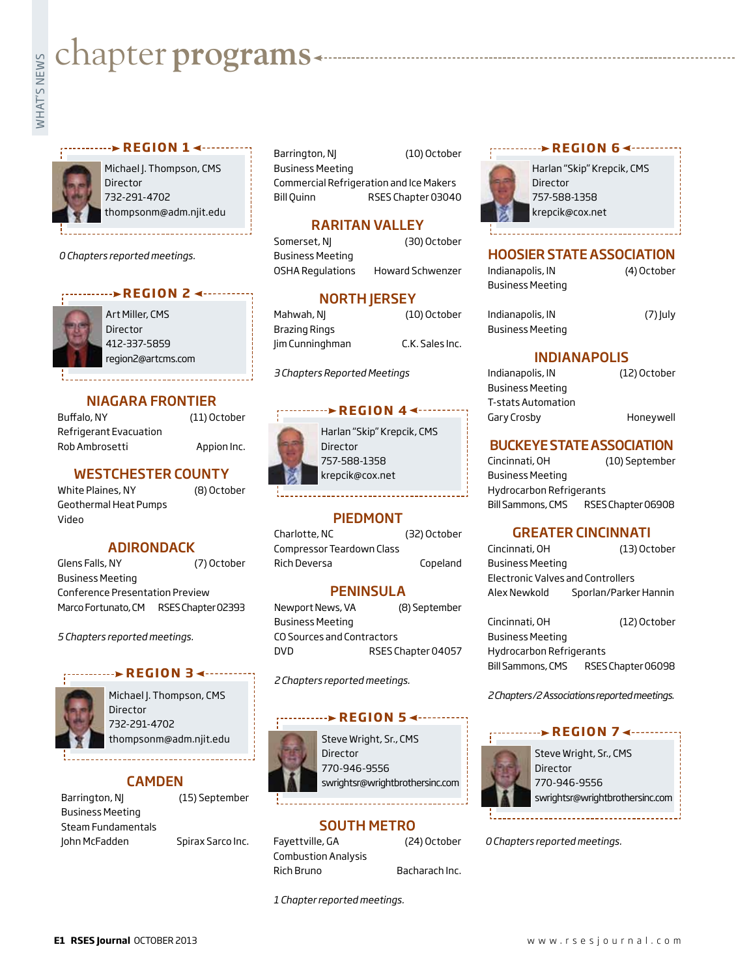# **whater programs**<br>Example:

#### **REGION 14 - .......**



Michael J. Thompson, CMS Director 732-291-4702 thompsonm@adm.njit.edu

*0 Chapters reported meetings.*



Art Miller, CMS Director 412-337-5859 region2@artcms.com

# NIAGARA FRONTIER

Buffalo, NY (11) October Refrigerant Evacuation Rob Ambrosetti Appion Inc.

WESTCHESTER COUNTY

White Plaines, NY (8) October Geothermal Heat Pumps Video

# ADIRONDACK

Glens Falls, NY (7) October Business Meeting Conference Presentation Preview Marco Fortunato, CM RSES Chapter 02393

*5 Chapters reported meetings.*

#### **REGION 34------**



Michael J. Thompson, CMS Director 732-291-4702 thompsonm@adm.njit.edu

# CAMDEN

Barrington, NJ (15) September Business Meeting Steam Fundamentals John McFadden Spirax Sarco Inc.

**REGION 6** <--------- (10) October (10) October (10) October (10) October (10) October (10) October (10) OCtober (10) OCtober (10) OCtober (10) OCtober (10) OCtober (10) OCtober (10) OCtober (10) OCtober (10) OCTOBER (10)

Business Meeting Commercial Refrigeration and Ice Makers Bill Quinn RSES Chapter 03040

# RARITAN VALLEY

Somerset, NJ (30) October Business Meeting OSHA Regulations Howard Schwenzer

# **NORTH JERSEY**

Mahwah, NJ (10) October Brazing Rings Jim Cunninghman C.K. Sales Inc.

*3 Chapters Reported Meetings*

# *<u>REGION 44</u>*



Harlan "Skip" Krepcik, CMS 757-588-1358 krepcik@cox.net

# PIEDMONT

Charlotte, NC (32) October Compressor Teardown Class Rich Deversa Copeland

# **PENINSULA**

Newport News, VA (8) September Business Meeting CO Sources and Contractors DVD RSES Chapter 04057

*2 Chapters reported meetings.*

#### **REGION 5 <------**

- 
- Steve Wright, Sr., CMS **Director** 770-946-9556

swrightsr@wrightbrothersinc.com

SOUTH METRO

Fayettville, GA (24) October Combustion Analysis Rich Bruno Bacharach Inc.

*1 Chapter reported meetings.*



Harlan "Skip" Krepcik, CMS Director 757-588-1358 krepcik@cox.net

# HOOSIER STATE ASSOCIATION

| Indianapolis, IN        | (4) October |
|-------------------------|-------------|
| <b>Business Meeting</b> |             |
| Indianapolis, IN        | $(7)$ July  |
| <b>Business Meeting</b> |             |

## INDIANAPOLIS

| Indianapolis, IN        | (12) October |
|-------------------------|--------------|
| <b>Business Meeting</b> |              |
| T-stats Automation      |              |
| Gary Crosby             | Honeywell    |
|                         |              |

## BUCKEYE STATE ASSOCIATION

Cincinnati, OH (10) September Business Meeting Hydrocarbon Refrigerants Bill Sammons, CMS RSES Chapter 06908

#### GREATER CINCINNATI

Cincinnati, OH (13) October Business Meeting Electronic Valves and Controllers Alex Newkold Sporlan/Parker Hannin

Cincinnati, OH (12) October Business Meeting Hydrocarbon Refrigerants Bill Sammons, CMS RSES Chapter 06098

*2 Chapters /2 Associations reported meetings.*

#### **REGION 74 --------**



Steve Wright, Sr., CMS Director 770-946-9556 swrightsr@wrightbrothersinc.com

*0 Chapters reported meetings.*